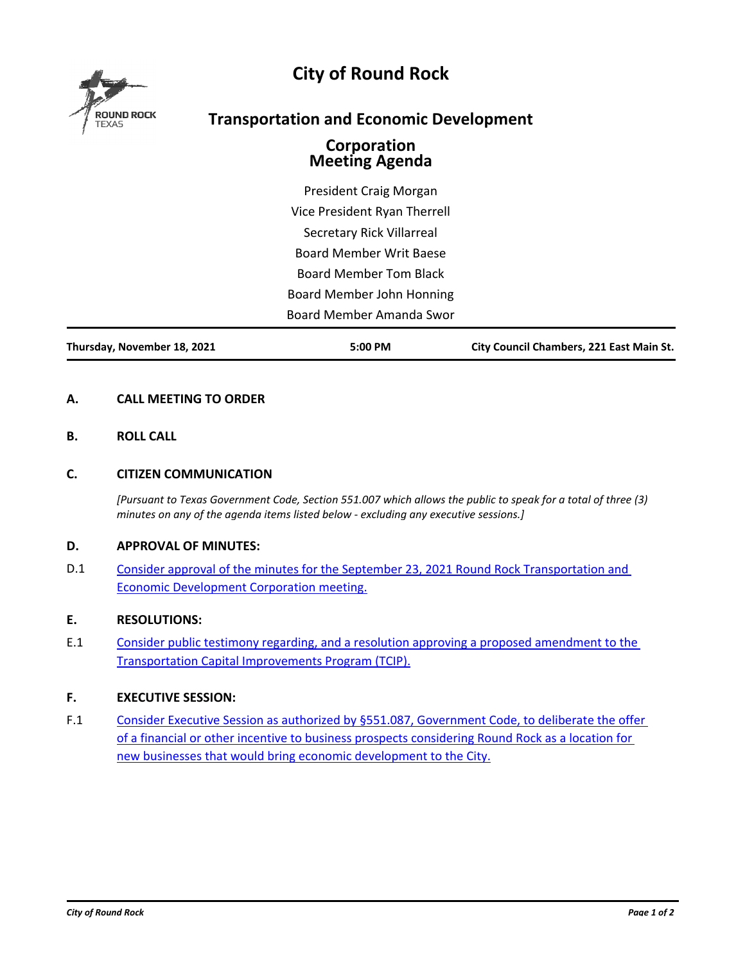

# **City of Round Rock**

## **Transportation and Economic Development**

### **Corporation Meeting Agenda**

President Craig Morgan Vice President Ryan Therrell Secretary Rick Villarreal Board Member Writ Baese Board Member Tom Black Board Member John Honning Board Member Amanda Swor

**Thursday, November 18, 2021 5:00 PM City Council Chambers, 221 East Main St.**

#### **A. CALL MEETING TO ORDER**

**B. ROLL CALL**

#### **C. CITIZEN COMMUNICATION**

*[Pursuant to Texas Government Code, Section 551.007 which allows the public to speak for a total of three (3) minutes on any of the agenda items listed below - excluding any executive sessions.]*

#### **D. APPROVAL OF MINUTES:**

D.1 [Consider approval of the minutes for the September 23, 2021 Round Rock Transportation and](http://roundrock.legistar.com/gateway.aspx?m=l&id=10872)  Economic Development Corporation meeting.

#### **E. RESOLUTIONS:**

E.1 [Consider public testimony regarding, and a resolution approving a proposed amendment to the](http://roundrock.legistar.com/gateway.aspx?m=l&id=10849)  Transportation Capital Improvements Program (TCIP).

#### **F. EXECUTIVE SESSION:**

F.1 [Consider Executive Session as authorized by §551.087, Government Code, to deliberate the offer](http://roundrock.legistar.com/gateway.aspx?m=l&id=10873)  of a financial or other incentive to business prospects considering Round Rock as a location for new businesses that would bring economic development to the City.